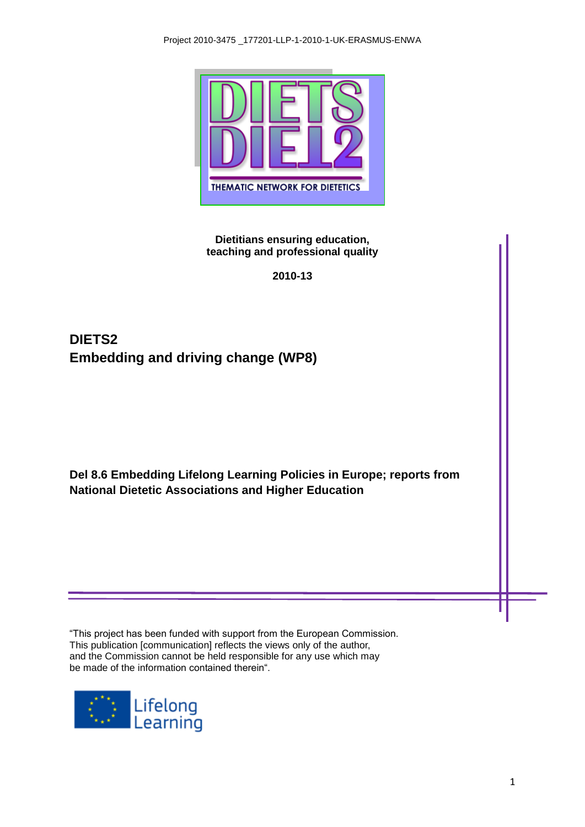

**Dietitians ensuring education, teaching and professional quality**

**2010-13**

**DIETS2 Embedding and driving change (WP8)**

**Del 8.6 Embedding Lifelong Learning Policies in Europe; reports from National Dietetic Associations and Higher Education**

"This project has been funded with support from the European Commission. This publication [communication] reflects the views only of the author, and the Commission cannot be held responsible for any use which may be made of the information contained therein".

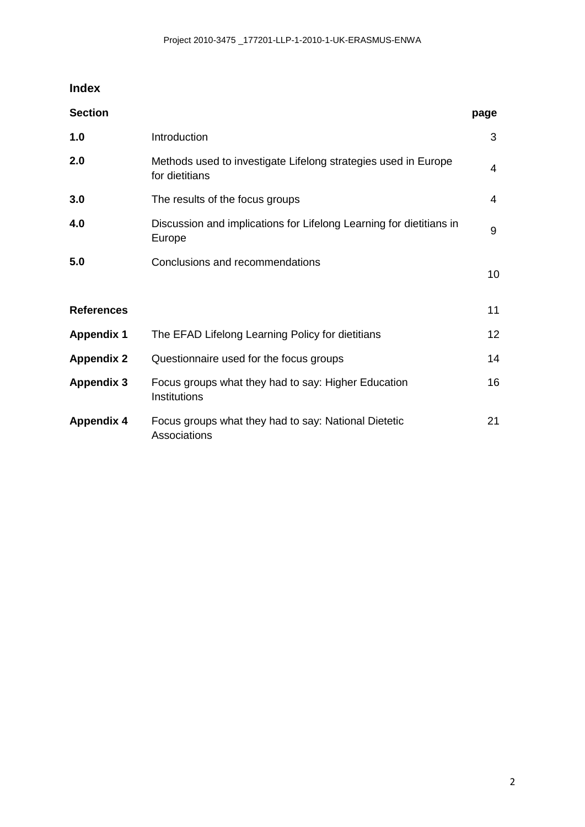# **Index**

| <b>Section</b>    |                                                                                  | page |
|-------------------|----------------------------------------------------------------------------------|------|
| 1.0               | Introduction                                                                     | 3    |
| 2.0               | Methods used to investigate Lifelong strategies used in Europe<br>for dietitians | 4    |
| 3.0               | The results of the focus groups                                                  | 4    |
| 4.0               | Discussion and implications for Lifelong Learning for dietitians in<br>Europe    | 9    |
| 5.0               | Conclusions and recommendations                                                  | 10   |
| <b>References</b> |                                                                                  | 11   |
| <b>Appendix 1</b> | The EFAD Lifelong Learning Policy for dietitians                                 | 12   |
| <b>Appendix 2</b> | Questionnaire used for the focus groups                                          | 14   |
| <b>Appendix 3</b> | Focus groups what they had to say: Higher Education<br>Institutions              | 16   |
| <b>Appendix 4</b> | Focus groups what they had to say: National Dietetic<br>Associations             | 21   |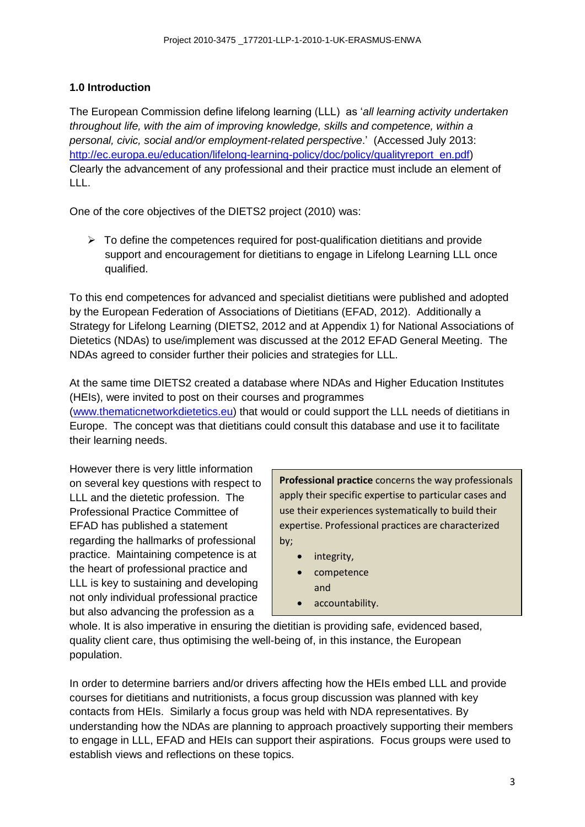# **1.0 Introduction**

The European Commission define lifelong learning (LLL) as '*all learning activity undertaken throughout life, with the aim of improving knowledge, skills and competence, within a personal, civic, social and/or employment-related perspective*.' (Accessed July 2013: [http://ec.europa.eu/education/lifelong-learning-policy/doc/policy/qualityreport\\_en.pdf\)](http://ec.europa.eu/education/lifelong-learning-policy/doc/policy/qualityreport_en.pdf) Clearly the advancement of any professional and their practice must include an element of LLL.

One of the core objectives of the DIETS2 project (2010) was:

 $\triangleright$  To define the competences required for post-qualification dietitians and provide support and encouragement for dietitians to engage in Lifelong Learning LLL once qualified.

To this end competences for advanced and specialist dietitians were published and adopted by the European Federation of Associations of Dietitians (EFAD, 2012). Additionally a Strategy for Lifelong Learning (DIETS2, 2012 and at Appendix 1) for National Associations of Dietetics (NDAs) to use/implement was discussed at the 2012 EFAD General Meeting. The NDAs agreed to consider further their policies and strategies for LLL.

At the same time DIETS2 created a database where NDAs and Higher Education Institutes (HEIs), were invited to post on their courses and programmes [\(www.thematicnetworkdietetics.eu\)](http://www.thematicnetworkdietetics.eu/) that would or could support the LLL needs of dietitians in Europe. The concept was that dietitians could consult this database and use it to facilitate their learning needs.

However there is very little information on several key questions with respect to LLL and the dietetic profession. The Professional Practice Committee of EFAD has published a statement regarding the hallmarks of professional practice. Maintaining competence is at the heart of professional practice and LLL is key to sustaining and developing not only individual professional practice but also advancing the profession as a

**Professional practice** concerns the way professionals apply their specific expertise to particular cases and use their experiences systematically to build their expertise. Professional practices are characterized by;

- integrity,
- competence and accountability.

whole. It is also imperative in ensuring the dietitian is providing safe, evidenced based, quality client care, thus optimising the well-being of, in this instance, the European population.

In order to determine barriers and/or drivers affecting how the HEIs embed LLL and provide courses for dietitians and nutritionists, a focus group discussion was planned with key contacts from HEIs. Similarly a focus group was held with NDA representatives. By understanding how the NDAs are planning to approach proactively supporting their members to engage in LLL, EFAD and HEIs can support their aspirations. Focus groups were used to establish views and reflections on these topics.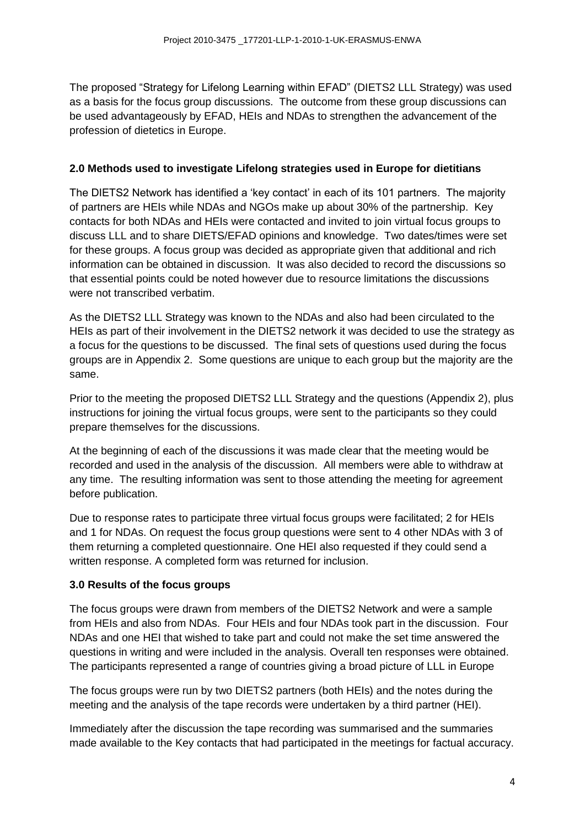The proposed "Strategy for Lifelong Learning within EFAD" (DIETS2 LLL Strategy) was used as a basis for the focus group discussions. The outcome from these group discussions can be used advantageously by EFAD, HEIs and NDAs to strengthen the advancement of the profession of dietetics in Europe.

### **2.0 Methods used to investigate Lifelong strategies used in Europe for dietitians**

The DIETS2 Network has identified a 'key contact' in each of its 101 partners. The majority of partners are HEIs while NDAs and NGOs make up about 30% of the partnership. Key contacts for both NDAs and HEIs were contacted and invited to join virtual focus groups to discuss LLL and to share DIETS/EFAD opinions and knowledge. Two dates/times were set for these groups. A focus group was decided as appropriate given that additional and rich information can be obtained in discussion. It was also decided to record the discussions so that essential points could be noted however due to resource limitations the discussions were not transcribed verbatim.

As the DIETS2 LLL Strategy was known to the NDAs and also had been circulated to the HEIs as part of their involvement in the DIETS2 network it was decided to use the strategy as a focus for the questions to be discussed. The final sets of questions used during the focus groups are in Appendix 2. Some questions are unique to each group but the majority are the same.

Prior to the meeting the proposed DIETS2 LLL Strategy and the questions (Appendix 2), plus instructions for joining the virtual focus groups, were sent to the participants so they could prepare themselves for the discussions.

At the beginning of each of the discussions it was made clear that the meeting would be recorded and used in the analysis of the discussion. All members were able to withdraw at any time. The resulting information was sent to those attending the meeting for agreement before publication.

Due to response rates to participate three virtual focus groups were facilitated; 2 for HEIs and 1 for NDAs. On request the focus group questions were sent to 4 other NDAs with 3 of them returning a completed questionnaire. One HEI also requested if they could send a written response. A completed form was returned for inclusion.

# **3.0 Results of the focus groups**

The focus groups were drawn from members of the DIETS2 Network and were a sample from HEIs and also from NDAs. Four HEIs and four NDAs took part in the discussion. Four NDAs and one HEI that wished to take part and could not make the set time answered the questions in writing and were included in the analysis. Overall ten responses were obtained. The participants represented a range of countries giving a broad picture of LLL in Europe

The focus groups were run by two DIETS2 partners (both HEIs) and the notes during the meeting and the analysis of the tape records were undertaken by a third partner (HEI).

Immediately after the discussion the tape recording was summarised and the summaries made available to the Key contacts that had participated in the meetings for factual accuracy.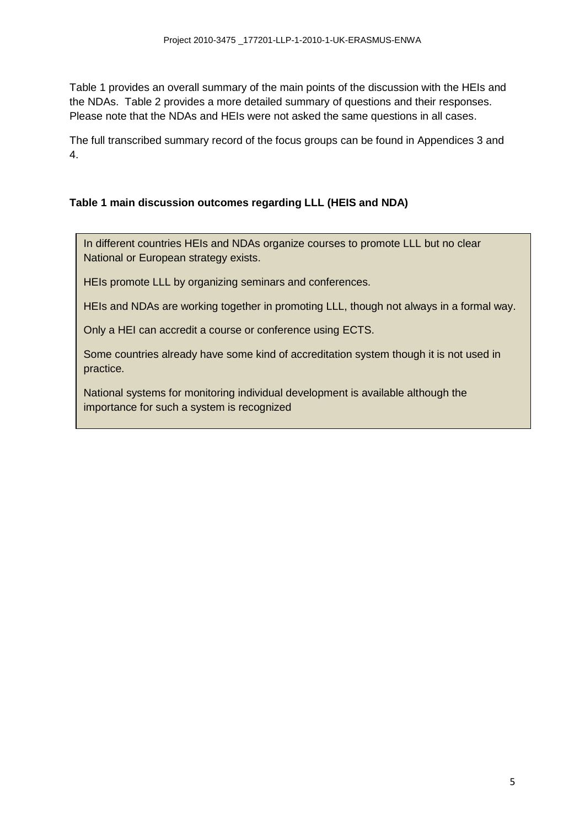Table 1 provides an overall summary of the main points of the discussion with the HEIs and the NDAs. Table 2 provides a more detailed summary of questions and their responses. Please note that the NDAs and HEIs were not asked the same questions in all cases.

The full transcribed summary record of the focus groups can be found in Appendices 3 and 4.

# **Table 1 main discussion outcomes regarding LLL (HEIS and NDA)**

In different countries HEIs and NDAs organize courses to promote LLL but no clear National or European strategy exists.

HEIs promote LLL by organizing seminars and conferences.

HEIs and NDAs are working together in promoting LLL, though not always in a formal way.

Only a HEI can accredit a course or conference using ECTS.

Some countries already have some kind of accreditation system though it is not used in practice.

National systems for monitoring individual development is available although the importance for such a system is recognized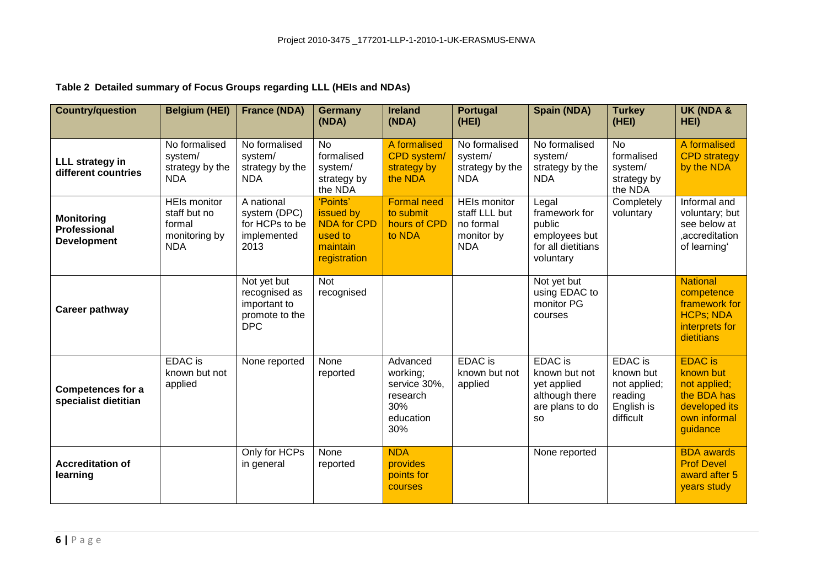# **Table 2 Detailed summary of Focus Groups regarding LLL (HEIs and NDAs)**

| <b>Country/question</b>                                        | <b>Belgium (HEI)</b>                                                         | <b>France (NDA)</b>                                                          | Germany<br>(NDA)                                                                   | <b>Ireland</b><br>(NDA)                                                     | <b>Portugal</b><br>(HEI)                                                      | Spain (NDA)                                                                                      | <b>Turkey</b><br>(HEI)                                                            | <b>UK (NDA &amp;</b><br>HEI)                                                                            |
|----------------------------------------------------------------|------------------------------------------------------------------------------|------------------------------------------------------------------------------|------------------------------------------------------------------------------------|-----------------------------------------------------------------------------|-------------------------------------------------------------------------------|--------------------------------------------------------------------------------------------------|-----------------------------------------------------------------------------------|---------------------------------------------------------------------------------------------------------|
| <b>LLL strategy in</b><br>different countries                  | No formalised<br>system/<br>strategy by the<br><b>NDA</b>                    | No formalised<br>system/<br>strategy by the<br><b>NDA</b>                    | <b>No</b><br>formalised<br>system/<br>strategy by<br>the NDA                       | A formalised<br>CPD system/<br>strategy by<br>the NDA                       | No formalised<br>system/<br>strategy by the<br><b>NDA</b>                     | No formalised<br>system/<br>strategy by the<br><b>NDA</b>                                        | <b>No</b><br>formalised<br>system/<br>strategy by<br>the NDA                      | A formalised<br><b>CPD</b> strategy<br>by the NDA                                                       |
| <b>Monitoring</b><br><b>Professional</b><br><b>Development</b> | <b>HEIs monitor</b><br>staff but no<br>formal<br>monitoring by<br><b>NDA</b> | A national<br>system (DPC)<br>for HCPs to be<br>implemented<br>2013          | 'Points'<br>issued by<br><b>NDA for CPD</b><br>used to<br>maintain<br>registration | <b>Formal need</b><br>to submit<br>hours of CPD<br>to NDA                   | <b>HEIs monitor</b><br>staff LLL but<br>no formal<br>monitor by<br><b>NDA</b> | Legal<br>framework for<br>public<br>employees but<br>for all dietitians<br>voluntary             | Completely<br>voluntary                                                           | Informal and<br>voluntary; but<br>see below at<br>.accreditation<br>of learning'                        |
| <b>Career pathway</b>                                          |                                                                              | Not yet but<br>recognised as<br>important to<br>promote to the<br><b>DPC</b> | <b>Not</b><br>recognised                                                           |                                                                             |                                                                               | Not yet but<br>using EDAC to<br>monitor PG<br>courses                                            |                                                                                   | <b>National</b><br>competence<br>framework for<br><b>HCPs; NDA</b><br>interprets for<br>dietitians      |
| <b>Competences for a</b><br>specialist dietitian               | <b>EDAC</b> is<br>known but not<br>applied                                   | None reported                                                                | None<br>reported                                                                   | Advanced<br>working;<br>service 30%,<br>research<br>30%<br>education<br>30% | <b>EDAC</b> is<br>known but not<br>applied                                    | <b>EDAC</b> is<br>known but not<br>yet applied<br>although there<br>are plans to do<br><b>SO</b> | <b>EDAC</b> is<br>known but<br>not applied;<br>reading<br>English is<br>difficult | <b>EDAC</b> is<br>known but<br>not applied;<br>the BDA has<br>developed its<br>own informal<br>guidance |
| <b>Accreditation of</b><br>learning                            |                                                                              | Only for HCPs<br>in general                                                  | None<br>reported                                                                   | <b>NDA</b><br>provides<br>points for<br>courses                             |                                                                               | None reported                                                                                    |                                                                                   | <b>BDA</b> awards<br><b>Prof Devel</b><br>award after 5<br>years study                                  |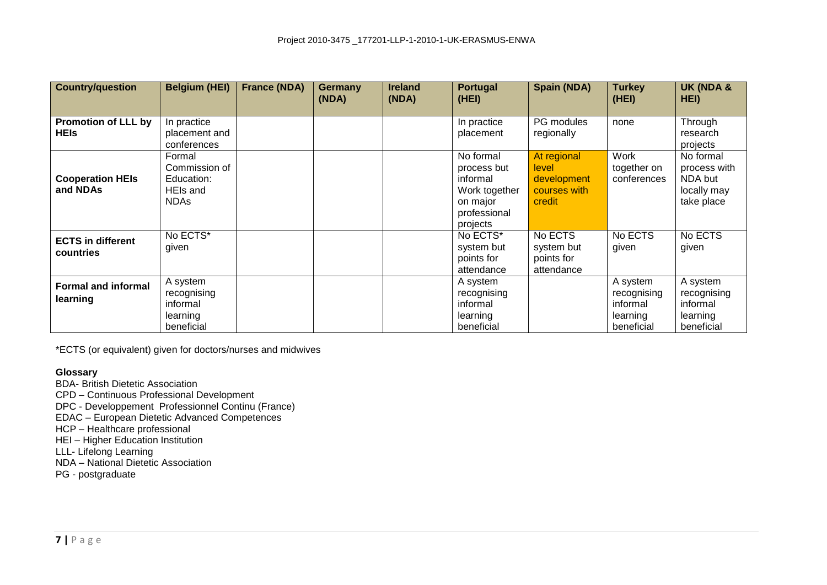| <b>Country/question</b>                   | <b>Belgium (HEI)</b>                                             | <b>France (NDA)</b> | <b>Germany</b><br>(NDA) | <b>Ireland</b><br>(NDA) | <b>Portugal</b><br>(HEI)                                                                      | Spain (NDA)                                                   | <b>Turkey</b><br>(HEI)                                        | UK (NDA &<br>HEI)                                                 |
|-------------------------------------------|------------------------------------------------------------------|---------------------|-------------------------|-------------------------|-----------------------------------------------------------------------------------------------|---------------------------------------------------------------|---------------------------------------------------------------|-------------------------------------------------------------------|
| <b>Promotion of LLL by</b><br><b>HEIs</b> | In practice<br>placement and<br>conferences                      |                     |                         |                         | In practice<br>placement                                                                      | PG modules<br>regionally                                      | none                                                          | Through<br>research<br>projects                                   |
| <b>Cooperation HEIs</b><br>and NDAs       | Formal<br>Commission of<br>Education:<br>HEIs and<br><b>NDAs</b> |                     |                         |                         | No formal<br>process but<br>informal<br>Work together<br>on major<br>professional<br>projects | At regional<br>level<br>development<br>courses with<br>credit | Work<br>together on<br>conferences                            | No formal<br>process with<br>NDA but<br>locally may<br>take place |
| <b>ECTS in different</b><br>countries     | No ECTS*<br>given                                                |                     |                         |                         | No ECTS*<br>system but<br>points for<br>attendance                                            | No ECTS<br>system but<br>points for<br>attendance             | No ECTS<br>given                                              | No ECTS<br>given                                                  |
| <b>Formal and informal</b><br>learning    | A system<br>recognising<br>informal<br>learning<br>beneficial    |                     |                         |                         | A system<br>recognising<br>informal<br>learning<br>beneficial                                 |                                                               | A system<br>recognising<br>informal<br>learning<br>beneficial | A system<br>recognising<br>informal<br>learning<br>beneficial     |

\*ECTS (or equivalent) given for doctors/nurses and midwives

#### **Glossary**

- BDA- British Dietetic Association
- CPD Continuous Professional Development
- DPC Developpement Professionnel Continu (France)
- EDAC European Dietetic Advanced Competences
- HCP Healthcare professional
- HEI Higher Education Institution
- LLL- Lifelong Learning
- NDA National Dietetic Association
- PG postgraduate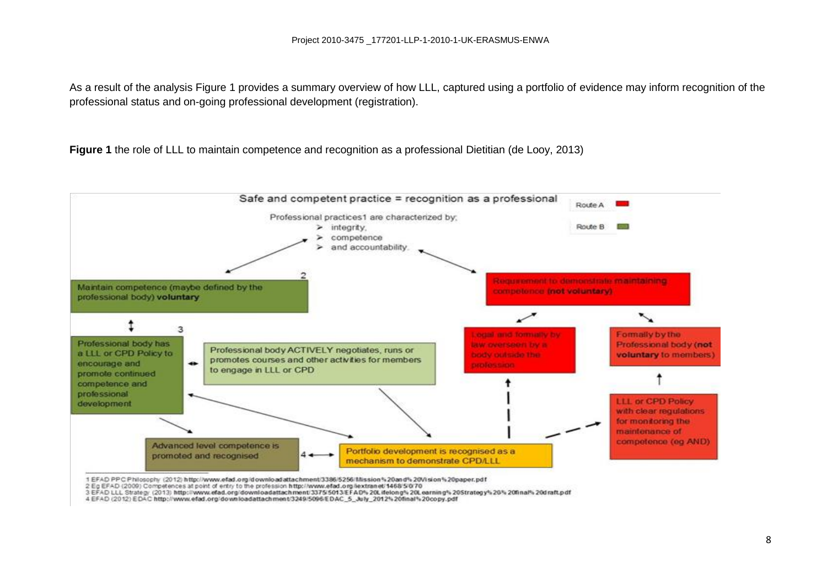As a result of the analysis Figure 1 provides a summary overview of how LLL, captured using a portfolio of evidence may inform recognition of the professional status and on-going professional development (registration).

**Figure 1** the role of LLL to maintain competence and recognition as a professional Dietitian (de Looy, 2013)



1 EFAD PPC Philosophy (2012) http://www.efad.org/downloadattachment/3386/5256/Mission%20and%20Vision%20paper.pdf

2 Eg EFAD (2009) Competences at point of entry to the profession http://www.efad.org/lextranet/1468/5/070<br>3 EFAD LLL Strategy (2013) http://www.efad.org/downloadattachment/3375/5013/EFAD% 20Lifelong% 20Learning% 20Strategy

4 EFAD (2012) EDAC http://www.efad.org/downloadattachment/3249/5096/EDAC 5 July 2012/4200final%20copy.pdf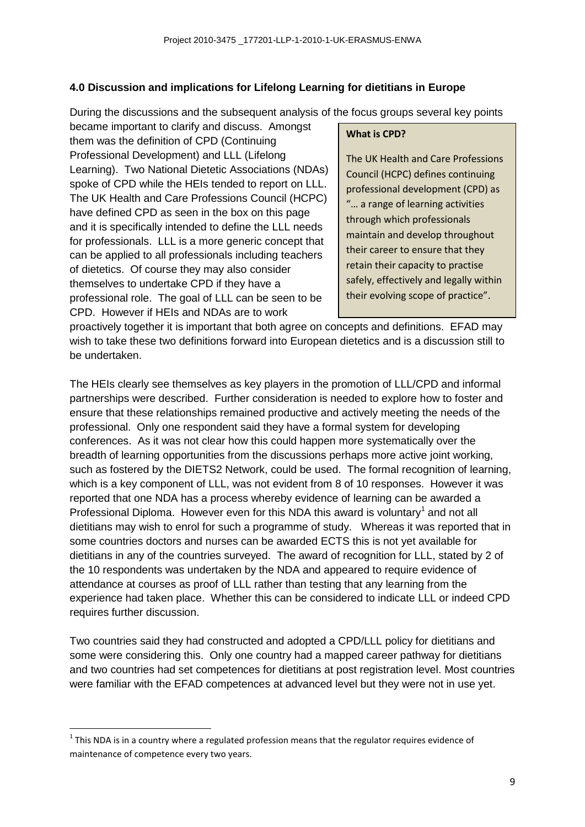# **4.0 Discussion and implications for Lifelong Learning for dietitians in Europe**

During the discussions and the subsequent analysis of the focus groups several key points

became important to clarify and discuss. Amongst them was the definition of CPD (Continuing Professional Development) and LLL (Lifelong Learning). Two National Dietetic Associations (NDAs) spoke of CPD while the HEIs tended to report on LLL. The UK Health and Care Professions Council (HCPC) have defined CPD as seen in the box on this page and it is specifically intended to define the LLL needs for professionals. LLL is a more generic concept that can be applied to all professionals including teachers of dietetics. Of course they may also consider themselves to undertake CPD if they have a professional role. The goal of LLL can be seen to be CPD. However if HEIs and NDAs are to work

#### **What is CPD?**

The UK Health and Care Professions Council (HCPC) defines continuing professional development (CPD) as "… a range of learning activities through which professionals maintain and develop throughout their career to ensure that they retain their capacity to practise safely, effectively and legally within their evolving scope of practice".

proactively together it is important that both agree on concepts and definitions. EFAD may wish to take these two definitions forward into European dietetics and is a discussion still to be undertaken.

The HEIs clearly see themselves as key players in the promotion of LLL/CPD and informal partnerships were described. Further consideration is needed to explore how to foster and ensure that these relationships remained productive and actively meeting the needs of the professional. Only one respondent said they have a formal system for developing conferences. As it was not clear how this could happen more systematically over the breadth of learning opportunities from the discussions perhaps more active joint working, such as fostered by the DIETS2 Network, could be used. The formal recognition of learning, which is a key component of LLL, was not evident from 8 of 10 responses. However it was reported that one NDA has a process whereby evidence of learning can be awarded a Professional Diploma. However even for this NDA this award is voluntary<sup>1</sup> and not all dietitians may wish to enrol for such a programme of study. Whereas it was reported that in some countries doctors and nurses can be awarded ECTS this is not yet available for dietitians in any of the countries surveyed. The award of recognition for LLL, stated by 2 of the 10 respondents was undertaken by the NDA and appeared to require evidence of attendance at courses as proof of LLL rather than testing that any learning from the experience had taken place. Whether this can be considered to indicate LLL or indeed CPD requires further discussion.

Two countries said they had constructed and adopted a CPD/LLL policy for dietitians and some were considering this. Only one country had a mapped career pathway for dietitians and two countries had set competences for dietitians at post registration level. Most countries were familiar with the EFAD competences at advanced level but they were not in use yet.

l

 $^{1}$  This NDA is in a country where a regulated profession means that the regulator requires evidence of maintenance of competence every two years.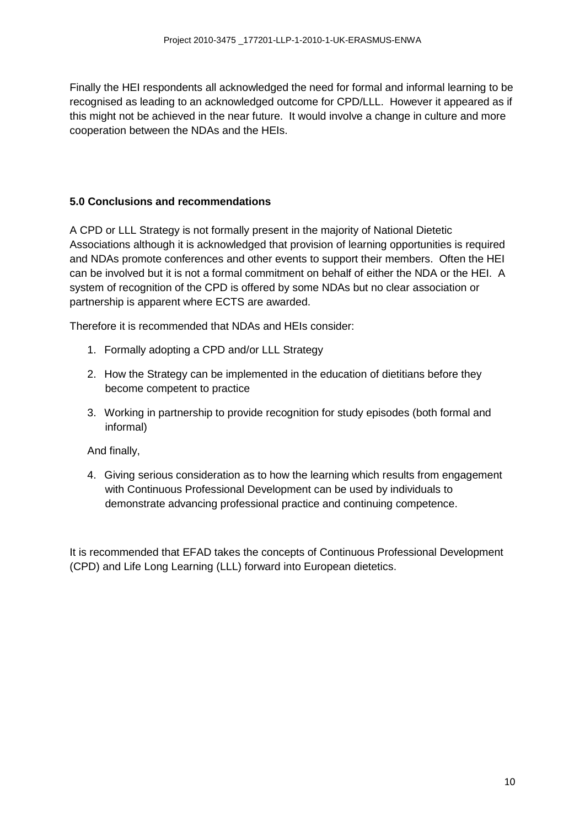Finally the HEI respondents all acknowledged the need for formal and informal learning to be recognised as leading to an acknowledged outcome for CPD/LLL. However it appeared as if this might not be achieved in the near future. It would involve a change in culture and more cooperation between the NDAs and the HEIs.

# **5.0 Conclusions and recommendations**

A CPD or LLL Strategy is not formally present in the majority of National Dietetic Associations although it is acknowledged that provision of learning opportunities is required and NDAs promote conferences and other events to support their members. Often the HEI can be involved but it is not a formal commitment on behalf of either the NDA or the HEI. A system of recognition of the CPD is offered by some NDAs but no clear association or partnership is apparent where ECTS are awarded.

Therefore it is recommended that NDAs and HEIs consider:

- 1. Formally adopting a CPD and/or LLL Strategy
- 2. How the Strategy can be implemented in the education of dietitians before they become competent to practice
- 3. Working in partnership to provide recognition for study episodes (both formal and informal)

And finally,

4. Giving serious consideration as to how the learning which results from engagement with Continuous Professional Development can be used by individuals to demonstrate advancing professional practice and continuing competence.

It is recommended that EFAD takes the concepts of Continuous Professional Development (CPD) and Life Long Learning (LLL) forward into European dietetics.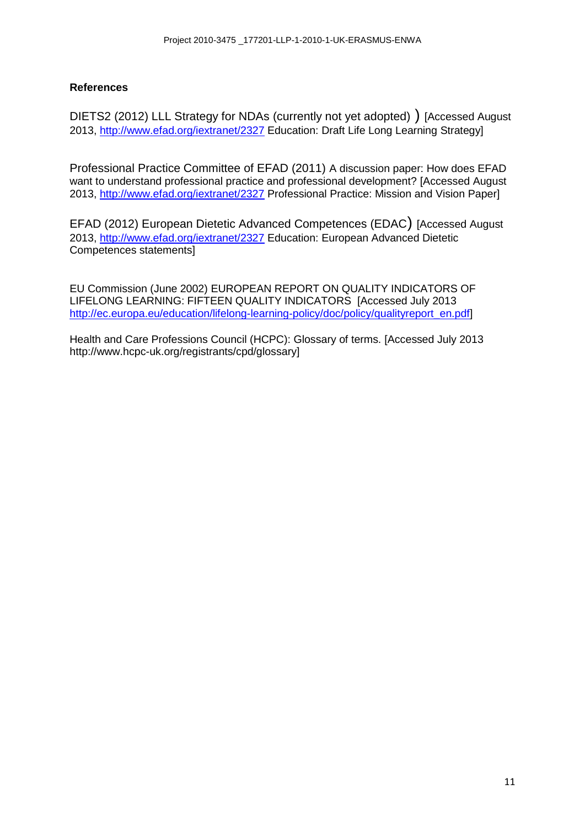### **References**

DIETS2 (2012) LLL Strategy for NDAs (currently not yet adopted) ) [Accessed August 2013,<http://www.efad.org/iextranet/2327> Education: Draft Life Long Learning Strategy]

Professional Practice Committee of EFAD (2011) A discussion paper: How does EFAD want to understand professional practice and professional development? [Accessed August 2013,<http://www.efad.org/iextranet/2327> Professional Practice: Mission and Vision Paper]

EFAD (2012) European Dietetic Advanced Competences (EDAC) [Accessed August 2013,<http://www.efad.org/iextranet/2327> Education: European Advanced Dietetic Competences statements]

EU Commission (June 2002) EUROPEAN REPORT ON QUALITY INDICATORS OF LIFELONG LEARNING: FIFTEEN QUALITY INDICATORS [Accessed July 2013 [http://ec.europa.eu/education/lifelong-learning-policy/doc/policy/qualityreport\\_en.pdf\]](http://ec.europa.eu/education/lifelong-learning-policy/doc/policy/qualityreport_en.pdf)

Health and Care Professions Council (HCPC): Glossary of terms. [Accessed July 2013 [http://www.hcpc-uk.org/registrants/cpd/glossary\]](http://www.hcpc-uk.org/registrants/cpd/glossary/)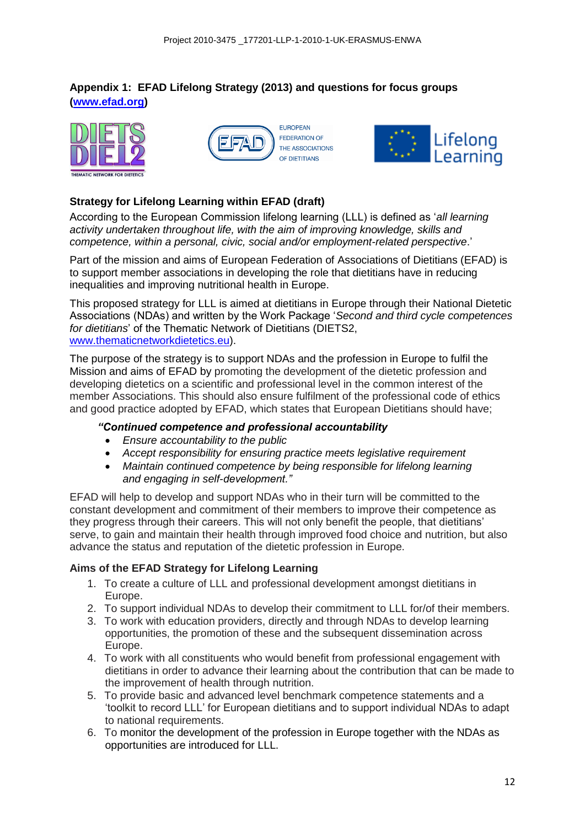# **Appendix 1: EFAD Lifelong Strategy (2013) and questions for focus groups [\(www.efad.org\)](http://www.efad.org/)**







# **Strategy for Lifelong Learning within EFAD (draft)**

According to the European Commission lifelong learning (LLL) is defined as '*all learning activity undertaken throughout life, with the aim of improving knowledge, skills and competence, within a personal, civic, social and/or employment-related perspective*.'

Part of the mission and aims of European Federation of Associations of Dietitians (EFAD) is to support member associations in developing the role that dietitians have in reducing inequalities and improving nutritional health in Europe.

This proposed strategy for LLL is aimed at dietitians in Europe through their National Dietetic Associations (NDAs) and written by the Work Package '*Second and third cycle competences for dietitians*' of the Thematic Network of Dietitians (DIETS2, [www.thematicnetworkdietetics.eu\)](http://www.thematicnetworkdietetics.eu/).

The purpose of the strategy is to support NDAs and the profession in Europe to fulfil the Mission and aims of EFAD by promoting the development of the dietetic profession and developing dietetics on a scientific and professional level in the common interest of the member Associations. This should also ensure fulfilment of the professional code of ethics and good practice adopted by EFAD, which states that European Dietitians should have;

#### *"Continued competence and professional accountability*

- *Ensure accountability to the public*
- *Accept responsibility for ensuring practice meets legislative requirement*
- *Maintain continued competence by being responsible for lifelong learning and engaging in self-development."*

EFAD will help to develop and support NDAs who in their turn will be committed to the constant development and commitment of their members to improve their competence as they progress through their careers. This will not only benefit the people, that dietitians' serve, to gain and maintain their health through improved food choice and nutrition, but also advance the status and reputation of the dietetic profession in Europe.

# **Aims of the EFAD Strategy for Lifelong Learning**

- 1. To create a culture of LLL and professional development amongst dietitians in Europe.
- 2. To support individual NDAs to develop their commitment to LLL for/of their members.
- 3. To work with education providers, directly and through NDAs to develop learning opportunities, the promotion of these and the subsequent dissemination across Europe.
- 4. To work with all constituents who would benefit from professional engagement with dietitians in order to advance their learning about the contribution that can be made to the improvement of health through nutrition.
- 5. To provide basic and advanced level benchmark competence statements and a 'toolkit to record LLL' for European dietitians and to support individual NDAs to adapt to national requirements.
- 6. To monitor the development of the profession in Europe together with the NDAs as opportunities are introduced for LLL.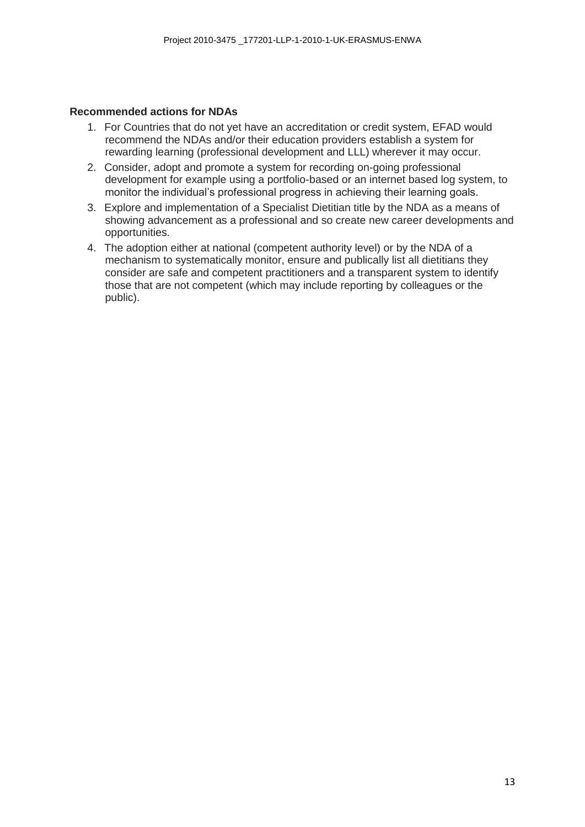#### **Recommended actions for NDAs**

- 1. For Countries that do not yet have an accreditation or credit system, EFAD would recommend the NDAs and/or their education providers establish a system for rewarding learning (professional development and LLL) wherever it may occur.
- 2. Consider, adopt and promote a system for recording on-going professional development for example using a portfolio-based or an internet based log system, to monitor the individual's professional progress in achieving their learning goals.
- 3. Explore and implementation of a Specialist Dietitian title by the NDA as a means of showing advancement as a professional and so create new career developments and opportunities.
- 4. The adoption either at national (competent authority level) or by the NDA of a mechanism to systematically monitor, ensure and publically list all dietitians they consider are safe and competent practitioners and a transparent system to identify those that are not competent (which may include reporting by colleagues or the public).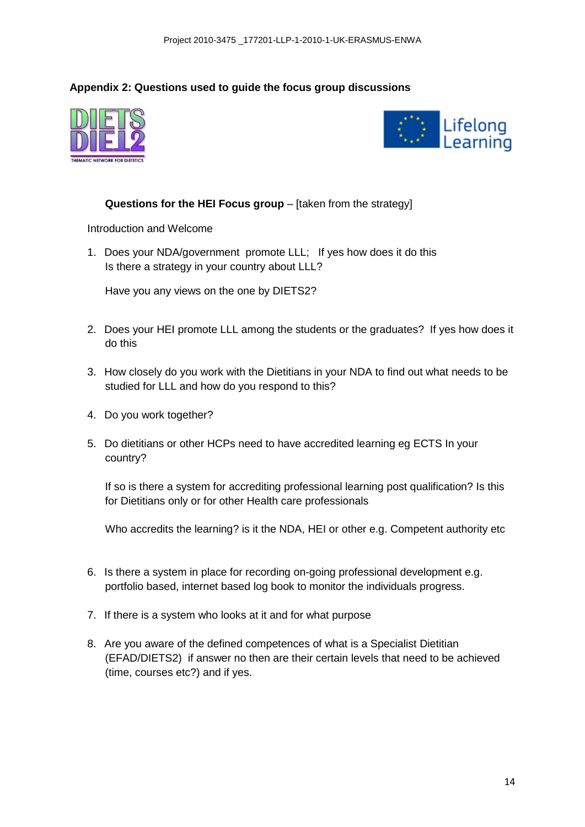# **Appendix 2: Questions used to guide the focus group discussions**





# **Questions for the HEI Focus group** – [taken from the strategy]

Introduction and Welcome

1. Does your NDA/government promote LLL; If yes how does it do this Is there a strategy in your country about LLL?

Have you any views on the one by DIETS2?

- 2. Does your HEI promote LLL among the students or the graduates? If yes how does it do this
- 3. How closely do you work with the Dietitians in your NDA to find out what needs to be studied for LLL and how do you respond to this?
- 4. Do you work together?
- 5. Do dietitians or other HCPs need to have accredited learning eg ECTS In your country?

If so is there a system for accrediting professional learning post qualification? Is this for Dietitians only or for other Health care professionals

Who accredits the learning? is it the NDA, HEI or other e.g. Competent authority etc

- 6. Is there a system in place for recording on-going professional development e.g. portfolio based, internet based log book to monitor the individuals progress.
- 7. If there is a system who looks at it and for what purpose
- 8. Are you aware of the defined competences of what is a Specialist Dietitian (EFAD/DIETS2) if answer no then are their certain levels that need to be achieved (time, courses etc?) and if yes.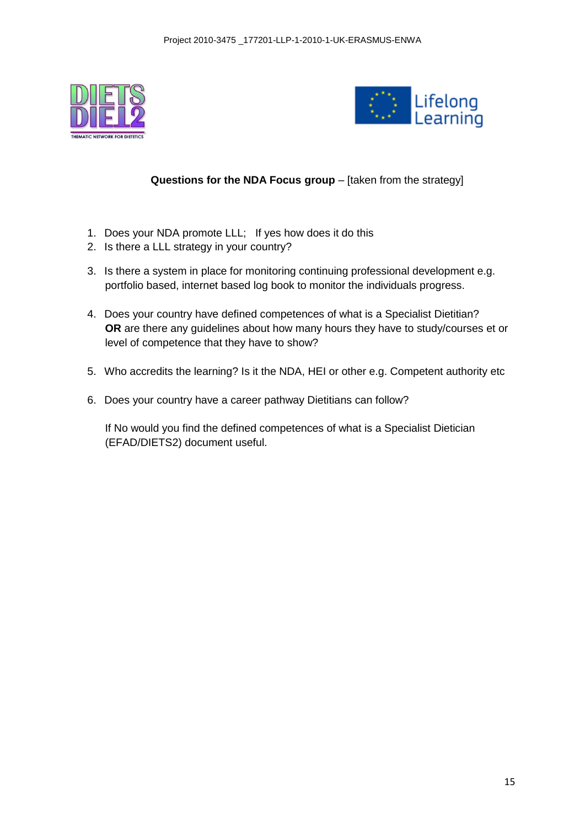



# **Questions for the NDA Focus group** – [taken from the strategy]

- 1. Does your NDA promote LLL; If yes how does it do this
- 2. Is there a LLL strategy in your country?
- 3. Is there a system in place for monitoring continuing professional development e.g. portfolio based, internet based log book to monitor the individuals progress.
- 4. Does your country have defined competences of what is a Specialist Dietitian? **OR** are there any guidelines about how many hours they have to study/courses et or level of competence that they have to show?
- 5. Who accredits the learning? Is it the NDA, HEI or other e.g. Competent authority etc
- 6. Does your country have a career pathway Dietitians can follow?

If No would you find the defined competences of what is a Specialist Dietician (EFAD/DIETS2) document useful.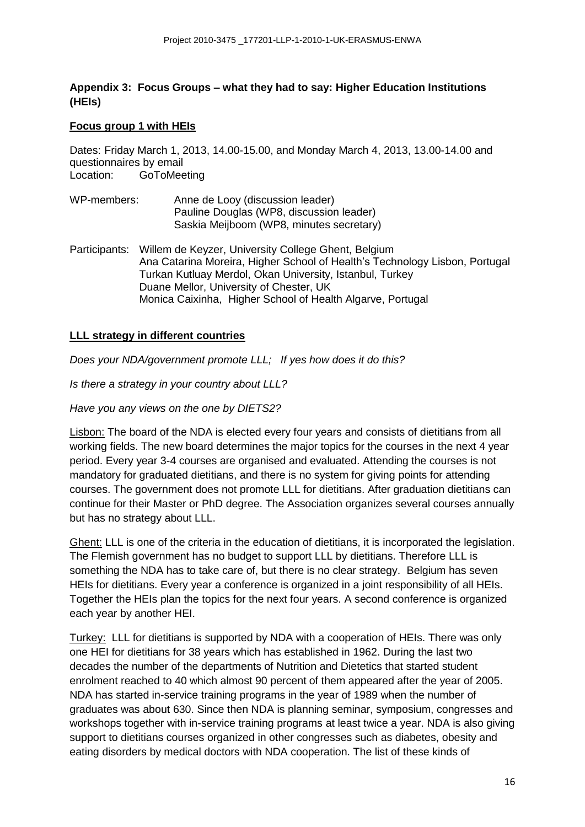### **Appendix 3: Focus Groups – what they had to say: Higher Education Institutions (HEIs)**

### **Focus group 1 with HEIs**

Dates: Friday March 1, 2013, 14.00-15.00, and Monday March 4, 2013, 13.00-14.00 and questionnaires by email Location: GoToMeeting

| WP-members: | Anne de Looy (discussion leader)         |
|-------------|------------------------------------------|
|             | Pauline Douglas (WP8, discussion leader) |
|             | Saskia Meijboom (WP8, minutes secretary) |

Participants: Willem de Keyzer, University College Ghent, Belgium Ana Catarina Moreira, Higher School of Health's Technology Lisbon, Portugal Turkan Kutluay Merdol, Okan University, Istanbul, Turkey Duane Mellor, University of Chester, UK Monica Caixinha, Higher School of Health Algarve, Portugal

#### **LLL strategy in different countries**

*Does your NDA/government promote LLL; If yes how does it do this?*

*Is there a strategy in your country about LLL?*

*Have you any views on the one by DIETS2?*

Lisbon: The board of the NDA is elected every four years and consists of dietitians from all working fields. The new board determines the major topics for the courses in the next 4 year period. Every year 3-4 courses are organised and evaluated. Attending the courses is not mandatory for graduated dietitians, and there is no system for giving points for attending courses. The government does not promote LLL for dietitians. After graduation dietitians can continue for their Master or PhD degree. The Association organizes several courses annually but has no strategy about LLL.

Ghent: LLL is one of the criteria in the education of dietitians, it is incorporated the legislation. The Flemish government has no budget to support LLL by dietitians. Therefore LLL is something the NDA has to take care of, but there is no clear strategy. Belgium has seven HEIs for dietitians. Every year a conference is organized in a joint responsibility of all HEIs. Together the HEIs plan the topics for the next four years. A second conference is organized each year by another HEI.

Turkey: LLL for dietitians is supported by NDA with a cooperation of HEIs. There was only one HEI for dietitians for 38 years which has established in 1962. During the last two decades the number of the departments of Nutrition and Dietetics that started student enrolment reached to 40 which almost 90 percent of them appeared after the year of 2005. NDA has started in-service training programs in the year of 1989 when the number of graduates was about 630. Since then NDA is planning seminar, symposium, congresses and workshops together with in-service training programs at least twice a year. NDA is also giving support to dietitians courses organized in other congresses such as diabetes, obesity and eating disorders by medical doctors with NDA cooperation. The list of these kinds of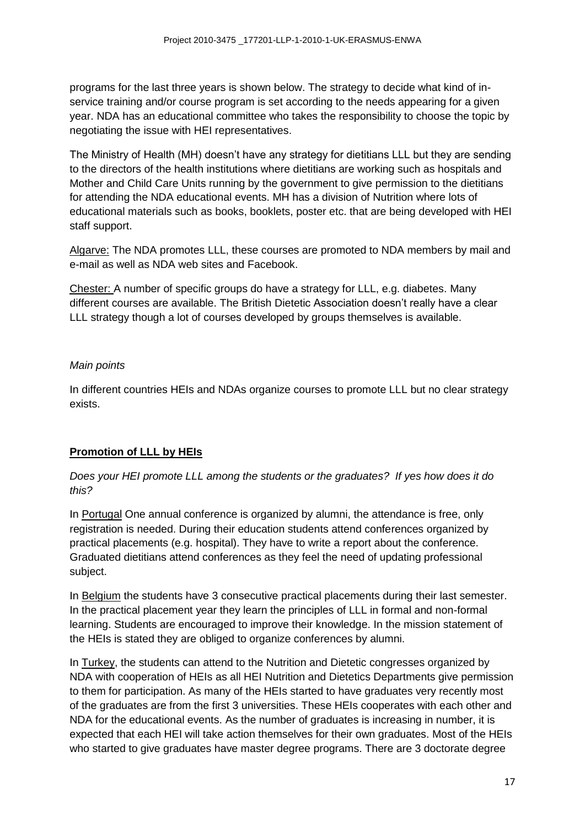programs for the last three years is shown below. The strategy to decide what kind of inservice training and/or course program is set according to the needs appearing for a given year. NDA has an educational committee who takes the responsibility to choose the topic by negotiating the issue with HEI representatives.

The Ministry of Health (MH) doesn't have any strategy for dietitians LLL but they are sending to the directors of the health institutions where dietitians are working such as hospitals and Mother and Child Care Units running by the government to give permission to the dietitians for attending the NDA educational events. MH has a division of Nutrition where lots of educational materials such as books, booklets, poster etc. that are being developed with HEI staff support.

Algarve: The NDA promotes LLL, these courses are promoted to NDA members by mail and e-mail as well as NDA web sites and Facebook.

Chester: A number of specific groups do have a strategy for LLL, e.g. diabetes. Many different courses are available. The British Dietetic Association doesn't really have a clear LLL strategy though a lot of courses developed by groups themselves is available.

# *Main points*

In different countries HEIs and NDAs organize courses to promote LLL but no clear strategy exists.

# **Promotion of LLL by HEIs**

*Does your HEI promote LLL among the students or the graduates? If yes how does it do this?* 

In Portugal One annual conference is organized by alumni, the attendance is free, only registration is needed. During their education students attend conferences organized by practical placements (e.g. hospital). They have to write a report about the conference. Graduated dietitians attend conferences as they feel the need of updating professional subject.

In Belgium the students have 3 consecutive practical placements during their last semester. In the practical placement year they learn the principles of LLL in formal and non-formal learning. Students are encouraged to improve their knowledge. In the mission statement of the HEIs is stated they are obliged to organize conferences by alumni.

In Turkey, the students can attend to the Nutrition and Dietetic congresses organized by NDA with cooperation of HEIs as all HEI Nutrition and Dietetics Departments give permission to them for participation. As many of the HEIs started to have graduates very recently most of the graduates are from the first 3 universities. These HEIs cooperates with each other and NDA for the educational events. As the number of graduates is increasing in number, it is expected that each HEI will take action themselves for their own graduates. Most of the HEIs who started to give graduates have master degree programs. There are 3 doctorate degree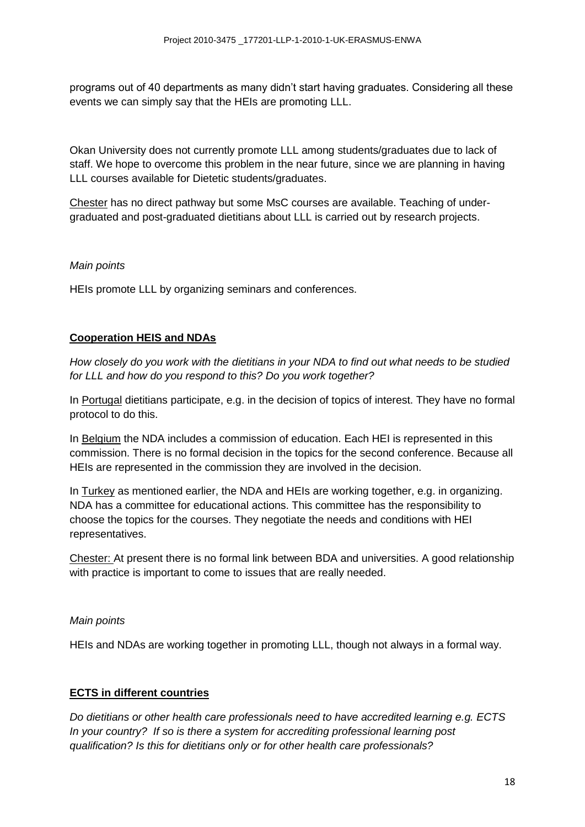programs out of 40 departments as many didn't start having graduates. Considering all these events we can simply say that the HEIs are promoting LLL.

Okan University does not currently promote LLL among students/graduates due to lack of staff. We hope to overcome this problem in the near future, since we are planning in having LLL courses available for Dietetic students/graduates.

Chester has no direct pathway but some MsC courses are available. Teaching of undergraduated and post-graduated dietitians about LLL is carried out by research projects.

#### *Main points*

HEIs promote LLL by organizing seminars and conferences.

# **Cooperation HEIS and NDAs**

*How closely do you work with the dietitians in your NDA to find out what needs to be studied for LLL and how do you respond to this? Do you work together?*

In Portugal dietitians participate, e.g. in the decision of topics of interest. They have no formal protocol to do this.

In Belgium the NDA includes a commission of education. Each HEI is represented in this commission. There is no formal decision in the topics for the second conference. Because all HEIs are represented in the commission they are involved in the decision.

In Turkey as mentioned earlier, the NDA and HEIs are working together, e.g. in organizing. NDA has a committee for educational actions. This committee has the responsibility to choose the topics for the courses. They negotiate the needs and conditions with HEI representatives.

Chester: At present there is no formal link between BDA and universities. A good relationship with practice is important to come to issues that are really needed.

#### *Main points*

HEIs and NDAs are working together in promoting LLL, though not always in a formal way.

# **ECTS in different countries**

*Do dietitians or other health care professionals need to have accredited learning e.g. ECTS In your country? If so is there a system for accrediting professional learning post qualification? Is this for dietitians only or for other health care professionals?*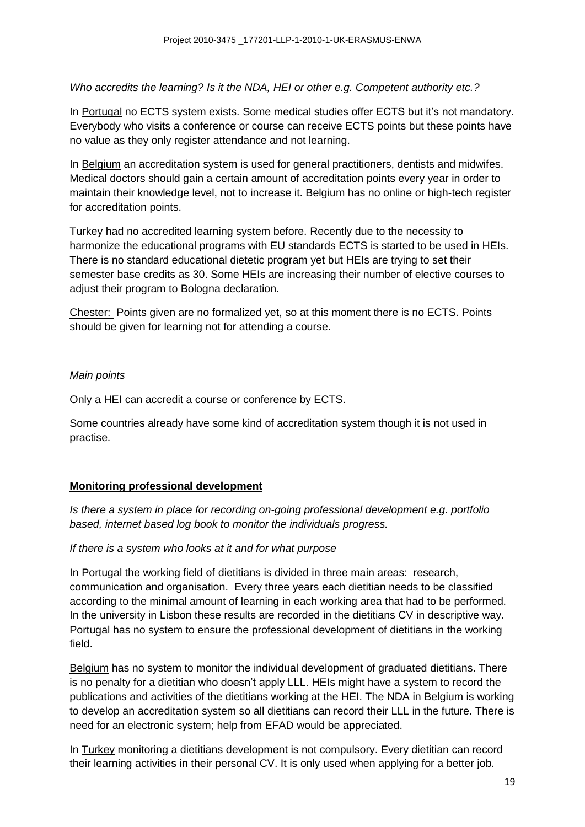### *Who accredits the learning? Is it the NDA, HEI or other e.g. Competent authority etc.?*

In Portugal no ECTS system exists. Some medical studies offer ECTS but it's not mandatory. Everybody who visits a conference or course can receive ECTS points but these points have no value as they only register attendance and not learning.

In Belgium an accreditation system is used for general practitioners, dentists and midwifes. Medical doctors should gain a certain amount of accreditation points every year in order to maintain their knowledge level, not to increase it. Belgium has no online or high-tech register for accreditation points.

Turkey had no accredited learning system before. Recently due to the necessity to harmonize the educational programs with EU standards ECTS is started to be used in HEIs. There is no standard educational dietetic program yet but HEIs are trying to set their semester base credits as 30. Some HEIs are increasing their number of elective courses to adjust their program to Bologna declaration.

Chester: Points given are no formalized yet, so at this moment there is no ECTS. Points should be given for learning not for attending a course.

#### *Main points*

Only a HEI can accredit a course or conference by ECTS.

Some countries already have some kind of accreditation system though it is not used in practise.

#### **Monitoring professional development**

*Is there a system in place for recording on-going professional development e.g. portfolio based, internet based log book to monitor the individuals progress.*

#### *If there is a system who looks at it and for what purpose*

In Portugal the working field of dietitians is divided in three main areas: research, communication and organisation. Every three years each dietitian needs to be classified according to the minimal amount of learning in each working area that had to be performed. In the university in Lisbon these results are recorded in the dietitians CV in descriptive way. Portugal has no system to ensure the professional development of dietitians in the working field.

Belgium has no system to monitor the individual development of graduated dietitians. There is no penalty for a dietitian who doesn't apply LLL. HEIs might have a system to record the publications and activities of the dietitians working at the HEI. The NDA in Belgium is working to develop an accreditation system so all dietitians can record their LLL in the future. There is need for an electronic system; help from EFAD would be appreciated.

In Turkey monitoring a dietitians development is not compulsory. Every dietitian can record their learning activities in their personal CV. It is only used when applying for a better job.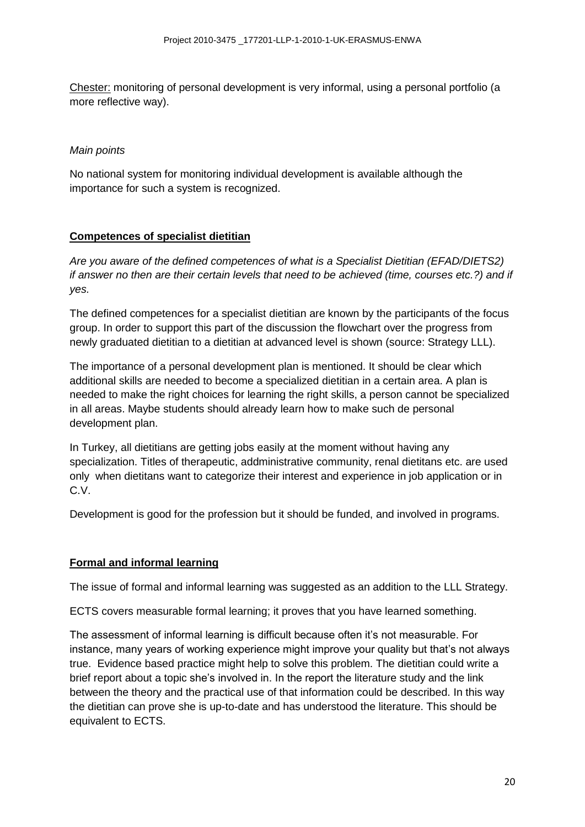Chester: monitoring of personal development is very informal, using a personal portfolio (a more reflective way).

### *Main points*

No national system for monitoring individual development is available although the importance for such a system is recognized.

# **Competences of specialist dietitian**

*Are you aware of the defined competences of what is a Specialist Dietitian (EFAD/DIETS2) if answer no then are their certain levels that need to be achieved (time, courses etc.?) and if yes.*

The defined competences for a specialist dietitian are known by the participants of the focus group. In order to support this part of the discussion the flowchart over the progress from newly graduated dietitian to a dietitian at advanced level is shown (source: Strategy LLL).

The importance of a personal development plan is mentioned. It should be clear which additional skills are needed to become a specialized dietitian in a certain area. A plan is needed to make the right choices for learning the right skills, a person cannot be specialized in all areas. Maybe students should already learn how to make such de personal development plan.

In Turkey, all dietitians are getting jobs easily at the moment without having any specialization. Titles of therapeutic, addministrative community, renal dietitans etc. are used only when dietitans want to categorize their interest and experience in job application or in C.V.

Development is good for the profession but it should be funded, and involved in programs.

# **Formal and informal learning**

The issue of formal and informal learning was suggested as an addition to the LLL Strategy.

ECTS covers measurable formal learning; it proves that you have learned something.

The assessment of informal learning is difficult because often it's not measurable. For instance, many years of working experience might improve your quality but that's not always true. Evidence based practice might help to solve this problem. The dietitian could write a brief report about a topic she's involved in. In the report the literature study and the link between the theory and the practical use of that information could be described. In this way the dietitian can prove she is up-to-date and has understood the literature. This should be equivalent to ECTS.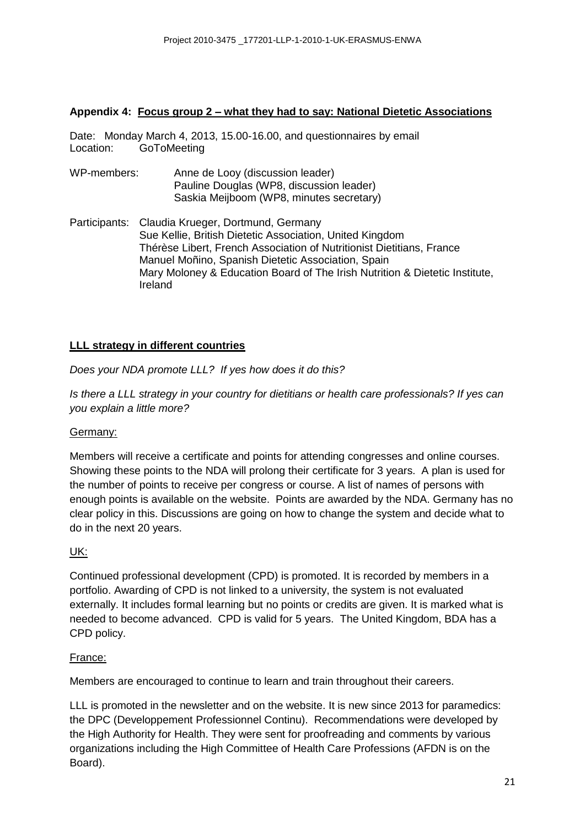#### **Appendix 4: Focus group 2 – what they had to say: National Dietetic Associations**

Date: Monday March 4, 2013, 15.00-16.00, and questionnaires by email Location: GoToMeeting

- WP-members: Anne de Looy (discussion leader) Pauline Douglas (WP8, discussion leader) Saskia Meijboom (WP8, minutes secretary)
- Participants: Claudia Krueger, Dortmund, Germany Sue Kellie, British Dietetic Association, United Kingdom Thérèse Libert, French Association of Nutritionist Dietitians, France Manuel Moñino, Spanish Dietetic Association, Spain Mary Moloney & Education Board of The Irish Nutrition & Dietetic Institute, Ireland

# **LLL strategy in different countries**

*Does your NDA promote LLL? If yes how does it do this?*

*Is there a LLL strategy in your country for dietitians or health care professionals? If yes can you explain a little more?*

#### Germany:

Members will receive a certificate and points for attending congresses and online courses. Showing these points to the NDA will prolong their certificate for 3 years. A plan is used for the number of points to receive per congress or course. A list of names of persons with enough points is available on the website. Points are awarded by the NDA. Germany has no clear policy in this. Discussions are going on how to change the system and decide what to do in the next 20 years.

#### UK:

Continued professional development (CPD) is promoted. It is recorded by members in a portfolio. Awarding of CPD is not linked to a university, the system is not evaluated externally. It includes formal learning but no points or credits are given. It is marked what is needed to become advanced. CPD is valid for 5 years. The United Kingdom, BDA has a CPD policy.

#### France:

Members are encouraged to continue to learn and train throughout their careers.

LLL is promoted in the newsletter and on the website. It is new since 2013 for paramedics: the DPC (Developpement Professionnel Continu). Recommendations were developed by the High Authority for Health. They were sent for proofreading and comments by various organizations including the High Committee of Health Care Professions (AFDN is on the Board).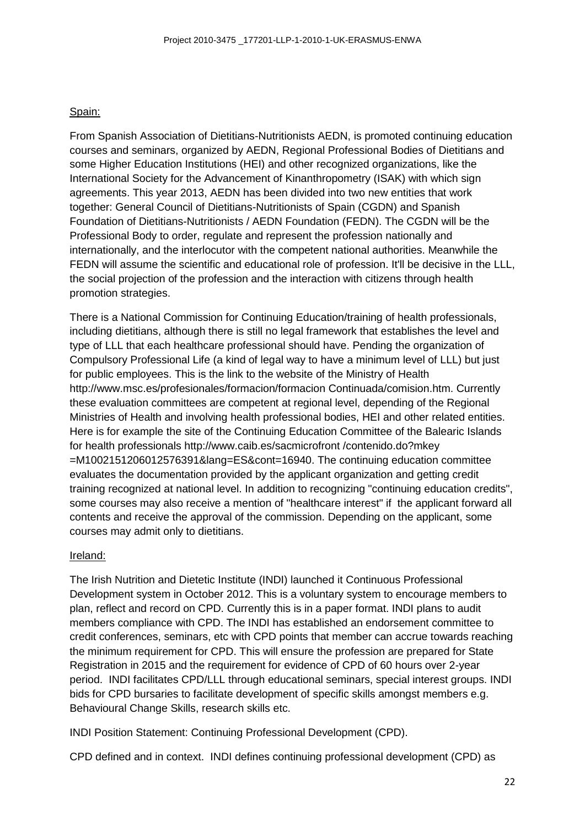#### Spain:

From Spanish Association of Dietitians-Nutritionists AEDN, is promoted continuing education courses and seminars, organized by AEDN, Regional Professional Bodies of Dietitians and some Higher Education Institutions (HEI) and other recognized organizations, like the International Society for the Advancement of Kinanthropometry (ISAK) with which sign agreements. This year 2013, AEDN has been divided into two new entities that work together: General Council of Dietitians-Nutritionists of Spain (CGDN) and Spanish Foundation of Dietitians-Nutritionists / AEDN Foundation (FEDN). The CGDN will be the Professional Body to order, regulate and represent the profession nationally and internationally, and the interlocutor with the competent national authorities. Meanwhile the FEDN will assume the scientific and educational role of profession. It'll be decisive in the LLL, the social projection of the profession and the interaction with citizens through health promotion strategies.

There is a National Commission for Continuing Education/training of health professionals, including dietitians, although there is still no legal framework that establishes the level and type of LLL that each healthcare professional should have. Pending the organization of Compulsory Professional Life (a kind of legal way to have a minimum level of LLL) but just for public employees. This is the link to the website of the Ministry of Health http://www.msc.es/profesionales/formacion/formacion Continuada/comision.htm. Currently these evaluation committees are competent at regional level, depending of the Regional Ministries of Health and involving health professional bodies, HEI and other related entities. Here is for example the site of the Continuing Education Committee of the Balearic Islands for health professionals http://www.caib.es/sacmicrofront /contenido.do?mkey =M1002151206012576391&lang=ES&cont=16940. The continuing education committee evaluates the documentation provided by the applicant organization and getting credit training recognized at national level. In addition to recognizing "continuing education credits", some courses may also receive a mention of "healthcare interest" if the applicant forward all contents and receive the approval of the commission. Depending on the applicant, some courses may admit only to dietitians.

#### Ireland:

The Irish Nutrition and Dietetic Institute (INDI) launched it Continuous Professional Development system in October 2012. This is a voluntary system to encourage members to plan, reflect and record on CPD. Currently this is in a paper format. INDI plans to audit members compliance with CPD. The INDI has established an endorsement committee to credit conferences, seminars, etc with CPD points that member can accrue towards reaching the minimum requirement for CPD. This will ensure the profession are prepared for State Registration in 2015 and the requirement for evidence of CPD of 60 hours over 2-year period. INDI facilitates CPD/LLL through educational seminars, special interest groups. INDI bids for CPD bursaries to facilitate development of specific skills amongst members e.g. Behavioural Change Skills, research skills etc.

INDI Position Statement: Continuing Professional Development (CPD).

CPD defined and in context. INDI defines continuing professional development (CPD) as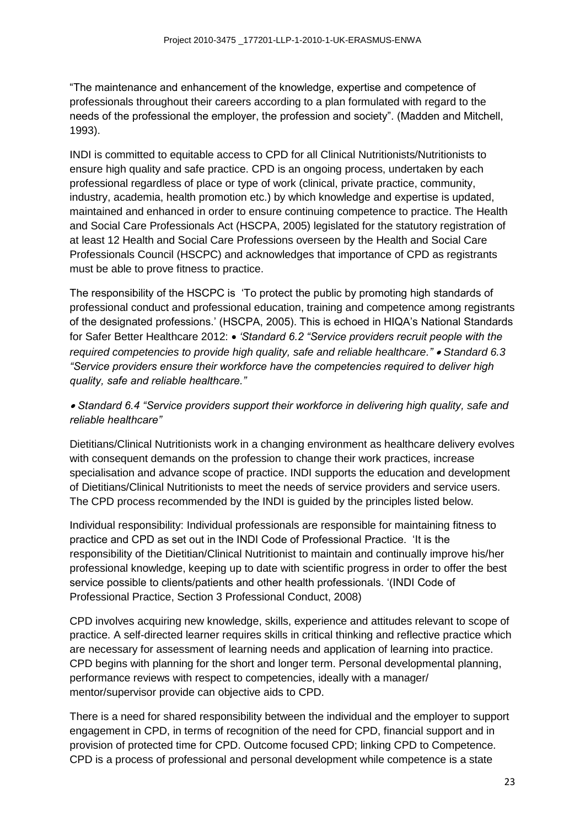"The maintenance and enhancement of the knowledge, expertise and competence of professionals throughout their careers according to a plan formulated with regard to the needs of the professional the employer, the profession and society". (Madden and Mitchell, 1993).

INDI is committed to equitable access to CPD for all Clinical Nutritionists/Nutritionists to ensure high quality and safe practice. CPD is an ongoing process, undertaken by each professional regardless of place or type of work (clinical, private practice, community, industry, academia, health promotion etc.) by which knowledge and expertise is updated, maintained and enhanced in order to ensure continuing competence to practice. The Health and Social Care Professionals Act (HSCPA, 2005) legislated for the statutory registration of at least 12 Health and Social Care Professions overseen by the Health and Social Care Professionals Council (HSCPC) and acknowledges that importance of CPD as registrants must be able to prove fitness to practice.

The responsibility of the HSCPC is 'To protect the public by promoting high standards of professional conduct and professional education, training and competence among registrants of the designated professions.' (HSCPA, 2005). This is echoed in HIQA's National Standards for Safer Better Healthcare 2012: *'Standard 6.2 "Service providers recruit people with the required competencies to provide high quality, safe and reliable healthcare." Standard 6.3 "Service providers ensure their workforce have the competencies required to deliver high quality, safe and reliable healthcare."*

### *Standard 6.4 "Service providers support their workforce in delivering high quality, safe and reliable healthcare"*

Dietitians/Clinical Nutritionists work in a changing environment as healthcare delivery evolves with consequent demands on the profession to change their work practices, increase specialisation and advance scope of practice. INDI supports the education and development of Dietitians/Clinical Nutritionists to meet the needs of service providers and service users. The CPD process recommended by the INDI is guided by the principles listed below.

Individual responsibility: Individual professionals are responsible for maintaining fitness to practice and CPD as set out in the INDI Code of Professional Practice. 'It is the responsibility of the Dietitian/Clinical Nutritionist to maintain and continually improve his/her professional knowledge, keeping up to date with scientific progress in order to offer the best service possible to clients/patients and other health professionals. '(INDI Code of Professional Practice, Section 3 Professional Conduct, 2008)

CPD involves acquiring new knowledge, skills, experience and attitudes relevant to scope of practice. A self-directed learner requires skills in critical thinking and reflective practice which are necessary for assessment of learning needs and application of learning into practice. CPD begins with planning for the short and longer term. Personal developmental planning, performance reviews with respect to competencies, ideally with a manager/ mentor/supervisor provide can objective aids to CPD.

There is a need for shared responsibility between the individual and the employer to support engagement in CPD, in terms of recognition of the need for CPD, financial support and in provision of protected time for CPD. Outcome focused CPD; linking CPD to Competence. CPD is a process of professional and personal development while competence is a state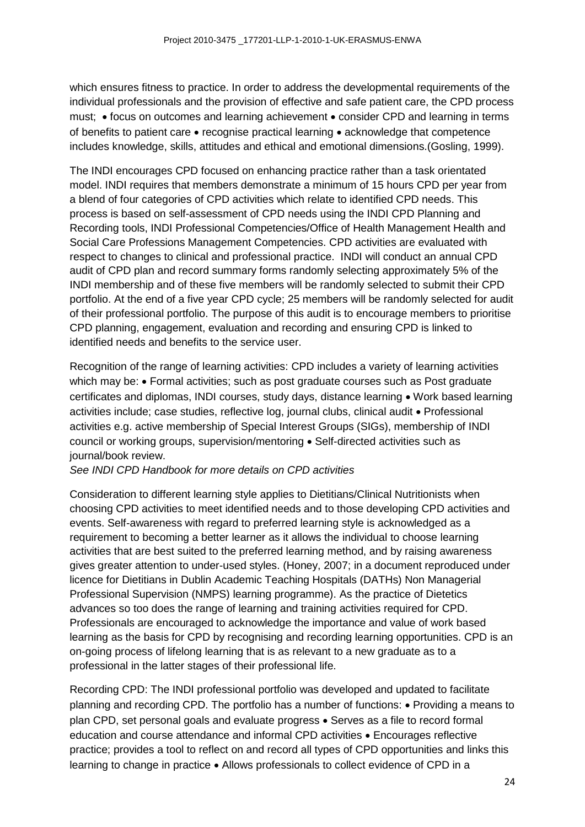which ensures fitness to practice. In order to address the developmental requirements of the individual professionals and the provision of effective and safe patient care, the CPD process must; • focus on outcomes and learning achievement • consider CPD and learning in terms of benefits to patient care  $\bullet$  recognise practical learning  $\bullet$  acknowledge that competence includes knowledge, skills, attitudes and ethical and emotional dimensions.(Gosling, 1999).

The INDI encourages CPD focused on enhancing practice rather than a task orientated model. INDI requires that members demonstrate a minimum of 15 hours CPD per year from a blend of four categories of CPD activities which relate to identified CPD needs. This process is based on self-assessment of CPD needs using the INDI CPD Planning and Recording tools, INDI Professional Competencies/Office of Health Management Health and Social Care Professions Management Competencies. CPD activities are evaluated with respect to changes to clinical and professional practice. INDI will conduct an annual CPD audit of CPD plan and record summary forms randomly selecting approximately 5% of the INDI membership and of these five members will be randomly selected to submit their CPD portfolio. At the end of a five year CPD cycle; 25 members will be randomly selected for audit of their professional portfolio. The purpose of this audit is to encourage members to prioritise CPD planning, engagement, evaluation and recording and ensuring CPD is linked to identified needs and benefits to the service user.

Recognition of the range of learning activities: CPD includes a variety of learning activities which may be: • Formal activities; such as post graduate courses such as Post graduate certificates and diplomas, INDI courses, study days, distance learning • Work based learning activities include; case studies, reflective log, journal clubs, clinical audit • Professional activities e.g. active membership of Special Interest Groups (SIGs), membership of INDI council or working groups, supervision/mentoring • Self-directed activities such as journal/book review.

# *See INDI CPD Handbook for more details on CPD activities*

Consideration to different learning style applies to Dietitians/Clinical Nutritionists when choosing CPD activities to meet identified needs and to those developing CPD activities and events. Self-awareness with regard to preferred learning style is acknowledged as a requirement to becoming a better learner as it allows the individual to choose learning activities that are best suited to the preferred learning method, and by raising awareness gives greater attention to under-used styles. (Honey, 2007; in a document reproduced under licence for Dietitians in Dublin Academic Teaching Hospitals (DATHs) Non Managerial Professional Supervision (NMPS) learning programme). As the practice of Dietetics advances so too does the range of learning and training activities required for CPD. Professionals are encouraged to acknowledge the importance and value of work based learning as the basis for CPD by recognising and recording learning opportunities. CPD is an on-going process of lifelong learning that is as relevant to a new graduate as to a professional in the latter stages of their professional life.

Recording CPD: The INDI professional portfolio was developed and updated to facilitate planning and recording CPD. The portfolio has a number of functions: Providing a means to plan CPD, set personal goals and evaluate progress • Serves as a file to record formal education and course attendance and informal CPD activities • Encourages reflective practice; provides a tool to reflect on and record all types of CPD opportunities and links this learning to change in practice  $\bullet$  Allows professionals to collect evidence of CPD in a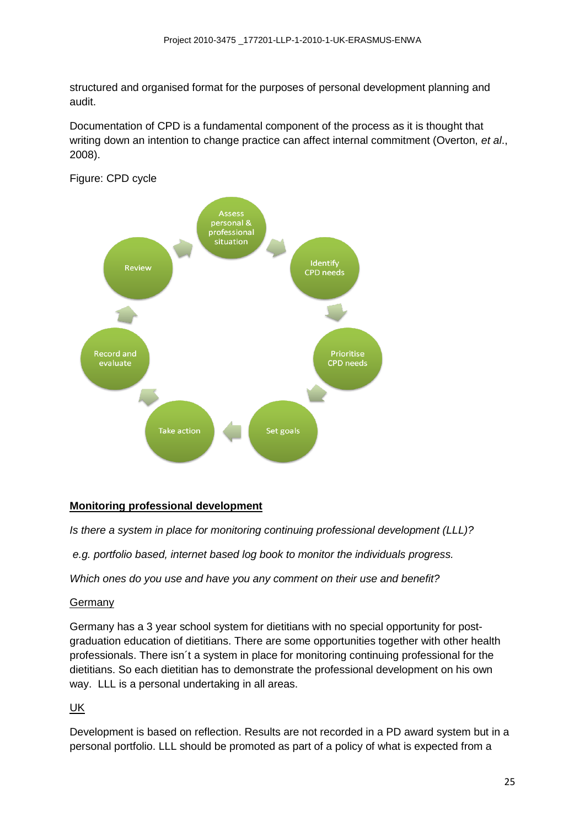structured and organised format for the purposes of personal development planning and audit.

Documentation of CPD is a fundamental component of the process as it is thought that writing down an intention to change practice can affect internal commitment (Overton, *et al*., 2008).

Figure: CPD cycle



# **Monitoring professional development**

*Is there a system in place for monitoring continuing professional development (LLL)?*

*e.g. portfolio based, internet based log book to monitor the individuals progress.*

*Which ones do you use and have you any comment on their use and benefit?*

# Germany

Germany has a 3 year school system for dietitians with no special opportunity for postgraduation education of dietitians. There are some opportunities together with other health professionals. There isn´t a system in place for monitoring continuing professional for the dietitians. So each dietitian has to demonstrate the professional development on his own way. LLL is a personal undertaking in all areas.

# UK

Development is based on reflection. Results are not recorded in a PD award system but in a personal portfolio. LLL should be promoted as part of a policy of what is expected from a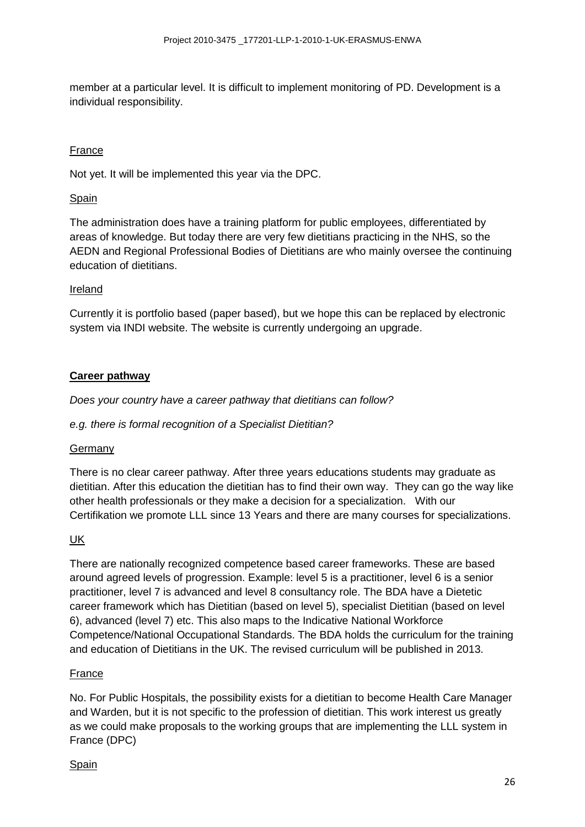member at a particular level. It is difficult to implement monitoring of PD. Development is a individual responsibility.

# France

Not yet. It will be implemented this year via the DPC.

#### Spain

The administration does have a training platform for public employees, differentiated by areas of knowledge. But today there are very few dietitians practicing in the NHS, so the AEDN and Regional Professional Bodies of Dietitians are who mainly oversee the continuing education of dietitians.

#### Ireland

Currently it is portfolio based (paper based), but we hope this can be replaced by electronic system via INDI website. The website is currently undergoing an upgrade.

# **Career pathway**

*Does your country have a career pathway that dietitians can follow?* 

*e.g. there is formal recognition of a Specialist Dietitian?*

#### Germany

There is no clear career pathway. After three years educations students may graduate as dietitian. After this education the dietitian has to find their own way. They can go the way like other health professionals or they make a decision for a specialization. With our Certifikation we promote LLL since 13 Years and there are many courses for specializations.

# UK

There are nationally recognized competence based career frameworks. These are based around agreed levels of progression. Example: level 5 is a practitioner, level 6 is a senior practitioner, level 7 is advanced and level 8 consultancy role. The BDA have a Dietetic career framework which has Dietitian (based on level 5), specialist Dietitian (based on level 6), advanced (level 7) etc. This also maps to the Indicative National Workforce Competence/National Occupational Standards. The BDA holds the curriculum for the training and education of Dietitians in the UK. The revised curriculum will be published in 2013.

#### France

No. For Public Hospitals, the possibility exists for a dietitian to become Health Care Manager and Warden, but it is not specific to the profession of dietitian. This work interest us greatly as we could make proposals to the working groups that are implementing the LLL system in France (DPC)

#### Spain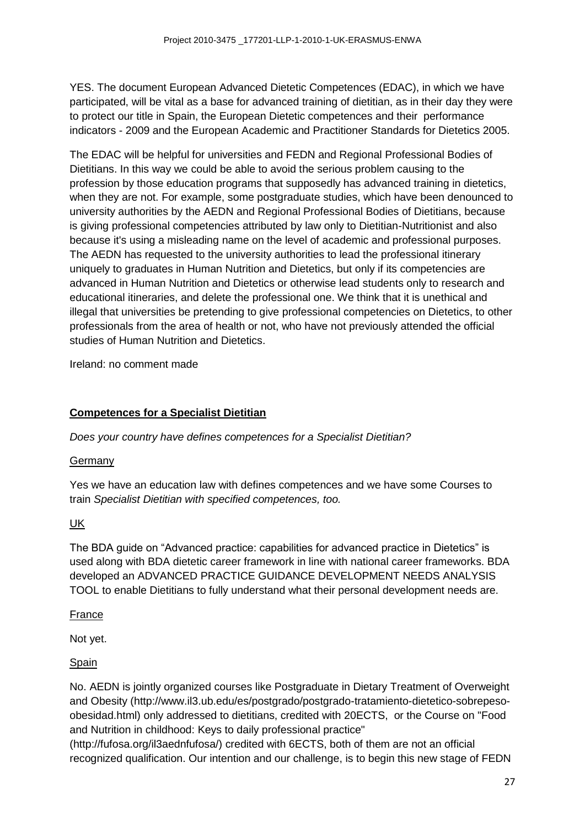YES. The document European Advanced Dietetic Competences (EDAC), in which we have participated, will be vital as a base for advanced training of dietitian, as in their day they were to protect our title in Spain, the European Dietetic competences and their performance indicators - 2009 and the European Academic and Practitioner Standards for Dietetics 2005.

The EDAC will be helpful for universities and FEDN and Regional Professional Bodies of Dietitians. In this way we could be able to avoid the serious problem causing to the profession by those education programs that supposedly has advanced training in dietetics, when they are not. For example, some postgraduate studies, which have been denounced to university authorities by the AEDN and Regional Professional Bodies of Dietitians, because is giving professional competencies attributed by law only to Dietitian-Nutritionist and also because it's using a misleading name on the level of academic and professional purposes. The AEDN has requested to the university authorities to lead the professional itinerary uniquely to graduates in Human Nutrition and Dietetics, but only if its competencies are advanced in Human Nutrition and Dietetics or otherwise lead students only to research and educational itineraries, and delete the professional one. We think that it is unethical and illegal that universities be pretending to give professional competencies on Dietetics, to other professionals from the area of health or not, who have not previously attended the official studies of Human Nutrition and Dietetics.

Ireland: no comment made

# **Competences for a Specialist Dietitian**

*Does your country have defines competences for a Specialist Dietitian?*

# Germany

Yes we have an education law with defines competences and we have some Courses to train *Specialist Dietitian with specified competences, too.*

# UK

The BDA guide on "Advanced practice: capabilities for advanced practice in Dietetics" is used along with BDA dietetic career framework in line with national career frameworks. BDA developed an ADVANCED PRACTICE GUIDANCE DEVELOPMENT NEEDS ANALYSIS TOOL to enable Dietitians to fully understand what their personal development needs are.

# **France**

Not yet.

# Spain

No. AEDN is jointly organized courses like Postgraduate in Dietary Treatment of Overweight and Obesity (http://www.il3.ub.edu/es/postgrado/postgrado-tratamiento-dietetico-sobrepesoobesidad.html) only addressed to dietitians, credited with 20ECTS, or the Course on "Food and Nutrition in childhood: Keys to daily professional practice"

[\(http://fufosa.org/il3aednfufosa/\)](http://fufosa.org/il3aednfufosa/) credited with 6ECTS, both of them are not an official recognized qualification. Our intention and our challenge, is to begin this new stage of FEDN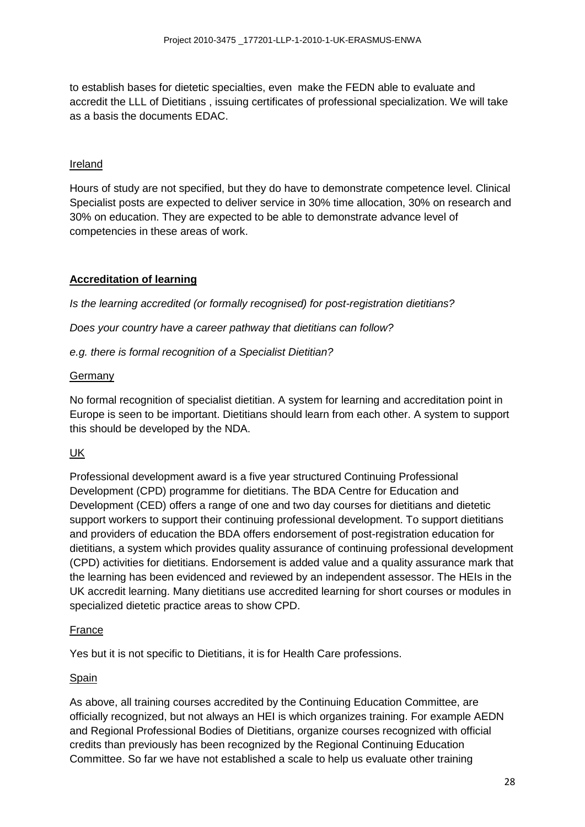to establish bases for dietetic specialties, even make the FEDN able to evaluate and accredit the LLL of Dietitians , issuing certificates of professional specialization. We will take as a basis the documents EDAC.

### Ireland

Hours of study are not specified, but they do have to demonstrate competence level. Clinical Specialist posts are expected to deliver service in 30% time allocation, 30% on research and 30% on education. They are expected to be able to demonstrate advance level of competencies in these areas of work.

# **Accreditation of learning**

*Is the learning accredited (or formally recognised) for post-registration dietitians?*

*Does your country have a career pathway that dietitians can follow?* 

*e.g. there is formal recognition of a Specialist Dietitian?*

#### **Germany**

No formal recognition of specialist dietitian. A system for learning and accreditation point in Europe is seen to be important. Dietitians should learn from each other. A system to support this should be developed by the NDA.

# UK

Professional development award is a five year structured Continuing Professional Development (CPD) programme for dietitians. The BDA Centre for Education and Development (CED) offers a range of one and two day courses for dietitians and dietetic support workers to support their continuing professional development. To support dietitians and providers of education the BDA offers endorsement of post-registration education for dietitians, a system which provides quality assurance of continuing professional development (CPD) activities for dietitians. Endorsement is added value and a quality assurance mark that the learning has been evidenced and reviewed by an independent assessor. The HEIs in the UK accredit learning. Many dietitians use accredited learning for short courses or modules in specialized dietetic practice areas to show CPD.

#### France

Yes but it is not specific to Dietitians, it is for Health Care professions.

# Spain

As above, all training courses accredited by the Continuing Education Committee, are officially recognized, but not always an HEI is which organizes training. For example AEDN and Regional Professional Bodies of Dietitians, organize courses recognized with official credits than previously has been recognized by the Regional Continuing Education Committee. So far we have not established a scale to help us evaluate other training